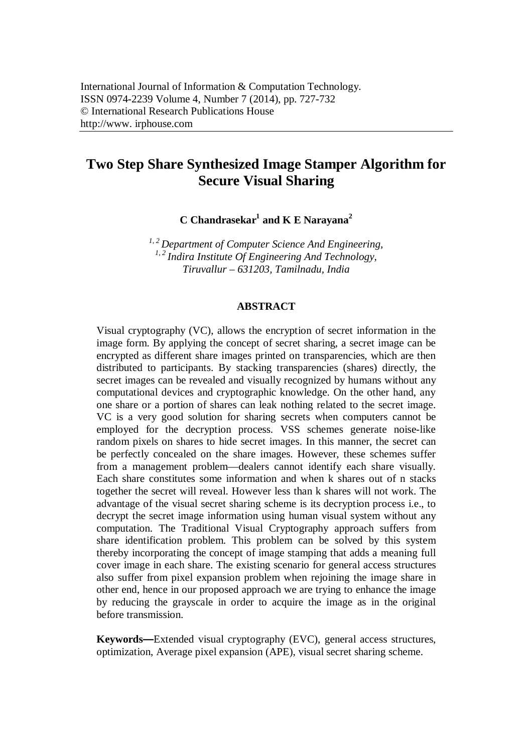# **Two Step Share Synthesized Image Stamper Algorithm for Secure Visual Sharing**

**C Chandrasekar<sup>1</sup> and K E Narayana<sup>2</sup>**

*1, 2 Department of Computer Science And Engineering, 1, 2 Indira Institute Of Engineering And Technology, Tiruvallur – 631203, Tamilnadu, India*

#### **ABSTRACT**

Visual cryptography (VC), allows the encryption of secret information in the image form. By applying the concept of secret sharing, a secret image can be encrypted as different share images printed on transparencies, which are then distributed to participants. By stacking transparencies (shares) directly, the secret images can be revealed and visually recognized by humans without any computational devices and cryptographic knowledge. On the other hand, any one share or a portion of shares can leak nothing related to the secret image. VC is a very good solution for sharing secrets when computers cannot be employed for the decryption process. VSS schemes generate noise-like random pixels on shares to hide secret images. In this manner, the secret can be perfectly concealed on the share images. However, these schemes suffer from a management problem—dealers cannot identify each share visually. Each share constitutes some information and when k shares out of n stacks together the secret will reveal. However less than k shares will not work. The advantage of the visual secret sharing scheme is its decryption process i.e., to decrypt the secret image information using human visual system without any computation. The Traditional Visual Cryptography approach suffers from share identification problem. This problem can be solved by this system thereby incorporating the concept of image stamping that adds a meaning full cover image in each share. The existing scenario for general access structures also suffer from pixel expansion problem when rejoining the image share in other end, hence in our proposed approach we are trying to enhance the image by reducing the grayscale in order to acquire the image as in the original before transmission.

**Keywords—**Extended visual cryptography (EVC), general access structures, optimization, Average pixel expansion (APE), visual secret sharing scheme.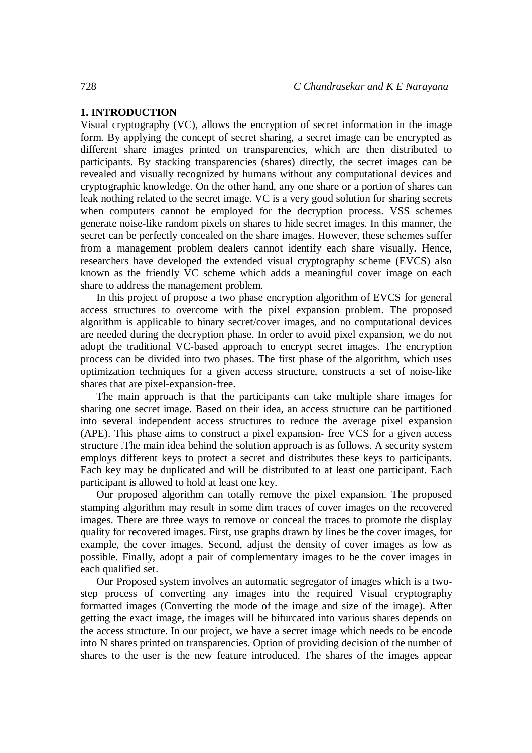# **1. INTRODUCTION**

Visual cryptography (VC), allows the encryption of secret information in the image form. By applying the concept of secret sharing, a secret image can be encrypted as different share images printed on transparencies, which are then distributed to participants. By stacking transparencies (shares) directly, the secret images can be revealed and visually recognized by humans without any computational devices and cryptographic knowledge. On the other hand, any one share or a portion of shares can leak nothing related to the secret image. VC is a very good solution for sharing secrets when computers cannot be employed for the decryption process. VSS schemes generate noise-like random pixels on shares to hide secret images. In this manner, the secret can be perfectly concealed on the share images. However, these schemes suffer from a management problem dealers cannot identify each share visually. Hence, researchers have developed the extended visual cryptography scheme (EVCS) also known as the friendly VC scheme which adds a meaningful cover image on each share to address the management problem.

In this project of propose a two phase encryption algorithm of EVCS for general access structures to overcome with the pixel expansion problem. The proposed algorithm is applicable to binary secret/cover images, and no computational devices are needed during the decryption phase. In order to avoid pixel expansion, we do not adopt the traditional VC-based approach to encrypt secret images. The encryption process can be divided into two phases. The first phase of the algorithm, which uses optimization techniques for a given access structure, constructs a set of noise-like shares that are pixel-expansion-free.

The main approach is that the participants can take multiple share images for sharing one secret image. Based on their idea, an access structure can be partitioned into several independent access structures to reduce the average pixel expansion (APE). This phase aims to construct a pixel expansion- free VCS for a given access structure .The main idea behind the solution approach is as follows. A security system employs different keys to protect a secret and distributes these keys to participants. Each key may be duplicated and will be distributed to at least one participant. Each participant is allowed to hold at least one key.

Our proposed algorithm can totally remove the pixel expansion. The proposed stamping algorithm may result in some dim traces of cover images on the recovered images. There are three ways to remove or conceal the traces to promote the display quality for recovered images. First, use graphs drawn by lines be the cover images, for example, the cover images. Second, adjust the density of cover images as low as possible. Finally, adopt a pair of complementary images to be the cover images in each qualified set.

Our Proposed system involves an automatic segregator of images which is a twostep process of converting any images into the required Visual cryptography formatted images (Converting the mode of the image and size of the image). After getting the exact image, the images will be bifurcated into various shares depends on the access structure. In our project, we have a secret image which needs to be encode into N shares printed on transparencies. Option of providing decision of the number of shares to the user is the new feature introduced. The shares of the images appear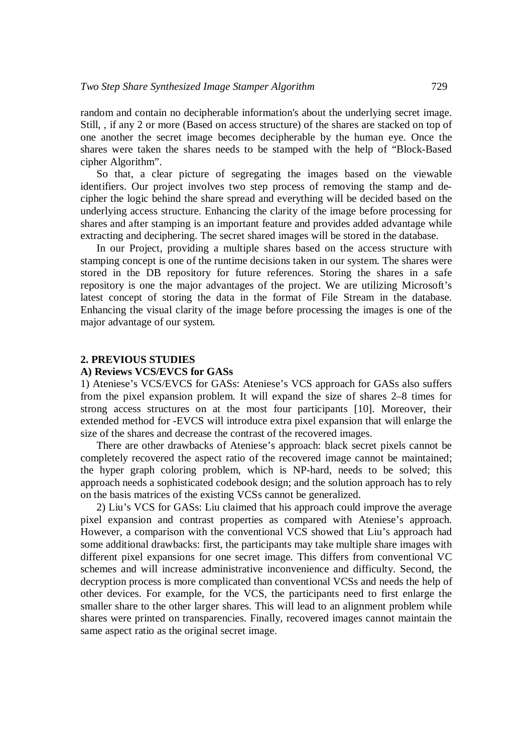random and contain no decipherable information's about the underlying secret image. Still, , if any 2 or more (Based on access structure) of the shares are stacked on top of one another the secret image becomes decipherable by the human eye. Once the shares were taken the shares needs to be stamped with the help of "Block-Based cipher Algorithm".

So that, a clear picture of segregating the images based on the viewable identifiers. Our project involves two step process of removing the stamp and decipher the logic behind the share spread and everything will be decided based on the underlying access structure. Enhancing the clarity of the image before processing for shares and after stamping is an important feature and provides added advantage while extracting and deciphering. The secret shared images will be stored in the database.

In our Project, providing a multiple shares based on the access structure with stamping concept is one of the runtime decisions taken in our system. The shares were stored in the DB repository for future references. Storing the shares in a safe repository is one the major advantages of the project. We are utilizing Microsoft's latest concept of storing the data in the format of File Stream in the database. Enhancing the visual clarity of the image before processing the images is one of the major advantage of our system.

## **2. PREVIOUS STUDIES**

#### **A) Reviews VCS/EVCS for GASs**

1) Ateniese's VCS/EVCS for GASs: Ateniese's VCS approach for GASs also suffers from the pixel expansion problem. It will expand the size of shares 2–8 times for strong access structures on at the most four participants [10]. Moreover, their extended method for -EVCS will introduce extra pixel expansion that will enlarge the size of the shares and decrease the contrast of the recovered images.

There are other drawbacks of Ateniese's approach: black secret pixels cannot be completely recovered the aspect ratio of the recovered image cannot be maintained; the hyper graph coloring problem, which is NP-hard, needs to be solved; this approach needs a sophisticated codebook design; and the solution approach has to rely on the basis matrices of the existing VCSs cannot be generalized.

2) Liu's VCS for GASs: Liu claimed that his approach could improve the average pixel expansion and contrast properties as compared with Ateniese's approach. However, a comparison with the conventional VCS showed that Liu's approach had some additional drawbacks: first, the participants may take multiple share images with different pixel expansions for one secret image. This differs from conventional VC schemes and will increase administrative inconvenience and difficulty. Second, the decryption process is more complicated than conventional VCSs and needs the help of other devices. For example, for the VCS, the participants need to first enlarge the smaller share to the other larger shares. This will lead to an alignment problem while shares were printed on transparencies. Finally, recovered images cannot maintain the same aspect ratio as the original secret image.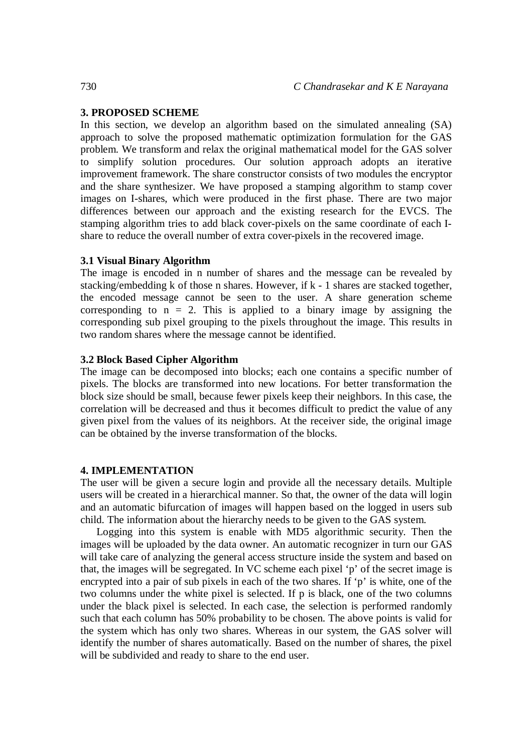## **3. PROPOSED SCHEME**

In this section, we develop an algorithm based on the simulated annealing (SA) approach to solve the proposed mathematic optimization formulation for the GAS problem. We transform and relax the original mathematical model for the GAS solver to simplify solution procedures. Our solution approach adopts an iterative improvement framework. The share constructor consists of two modules the encryptor and the share synthesizer. We have proposed a stamping algorithm to stamp cover images on I-shares, which were produced in the first phase. There are two major differences between our approach and the existing research for the EVCS. The stamping algorithm tries to add black cover-pixels on the same coordinate of each Ishare to reduce the overall number of extra cover-pixels in the recovered image.

#### **3.1 Visual Binary Algorithm**

The image is encoded in n number of shares and the message can be revealed by stacking/embedding k of those n shares. However, if k - 1 shares are stacked together, the encoded message cannot be seen to the user. A share generation scheme corresponding to  $n = 2$ . This is applied to a binary image by assigning the corresponding sub pixel grouping to the pixels throughout the image. This results in two random shares where the message cannot be identified.

## **3.2 Block Based Cipher Algorithm**

The image can be decomposed into blocks; each one contains a specific number of pixels. The blocks are transformed into new locations. For better transformation the block size should be small, because fewer pixels keep their neighbors. In this case, the correlation will be decreased and thus it becomes difficult to predict the value of any given pixel from the values of its neighbors. At the receiver side, the original image can be obtained by the inverse transformation of the blocks.

#### **4. IMPLEMENTATION**

The user will be given a secure login and provide all the necessary details. Multiple users will be created in a hierarchical manner. So that, the owner of the data will login and an automatic bifurcation of images will happen based on the logged in users sub child. The information about the hierarchy needs to be given to the GAS system.

Logging into this system is enable with MD5 algorithmic security. Then the images will be uploaded by the data owner. An automatic recognizer in turn our GAS will take care of analyzing the general access structure inside the system and based on that, the images will be segregated. In VC scheme each pixel 'p' of the secret image is encrypted into a pair of sub pixels in each of the two shares. If 'p' is white, one of the two columns under the white pixel is selected. If p is black, one of the two columns under the black pixel is selected. In each case, the selection is performed randomly such that each column has 50% probability to be chosen. The above points is valid for the system which has only two shares. Whereas in our system, the GAS solver will identify the number of shares automatically. Based on the number of shares, the pixel will be subdivided and ready to share to the end user.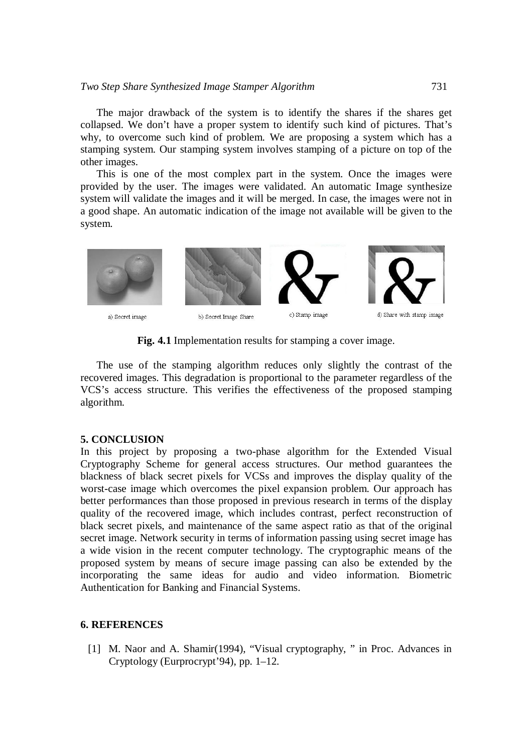## *Two Step Share Synthesized Image Stamper Algorithm* 731

The major drawback of the system is to identify the shares if the shares get collapsed. We don't have a proper system to identify such kind of pictures. That's why, to overcome such kind of problem. We are proposing a system which has a stamping system. Our stamping system involves stamping of a picture on top of the other images.

This is one of the most complex part in the system. Once the images were provided by the user. The images were validated. An automatic Image synthesize system will validate the images and it will be merged. In case, the images were not in a good shape. An automatic indication of the image not available will be given to the system.



**Fig. 4.1** Implementation results for stamping a cover image.

The use of the stamping algorithm reduces only slightly the contrast of the recovered images. This degradation is proportional to the parameter regardless of the VCS's access structure. This verifies the effectiveness of the proposed stamping algorithm.

# **5. CONCLUSION**

In this project by proposing a two-phase algorithm for the Extended Visual Cryptography Scheme for general access structures. Our method guarantees the blackness of black secret pixels for VCSs and improves the display quality of the worst-case image which overcomes the pixel expansion problem. Our approach has better performances than those proposed in previous research in terms of the display quality of the recovered image, which includes contrast, perfect reconstruction of black secret pixels, and maintenance of the same aspect ratio as that of the original secret image. Network security in terms of information passing using secret image has a wide vision in the recent computer technology. The cryptographic means of the proposed system by means of secure image passing can also be extended by the incorporating the same ideas for audio and video information. Biometric Authentication for Banking and Financial Systems.

# **6. REFERENCES**

[1] M. Naor and A. Shamir(1994), "Visual cryptography, " in Proc. Advances in Cryptology (Eurprocrypt'94), pp. 1–12.